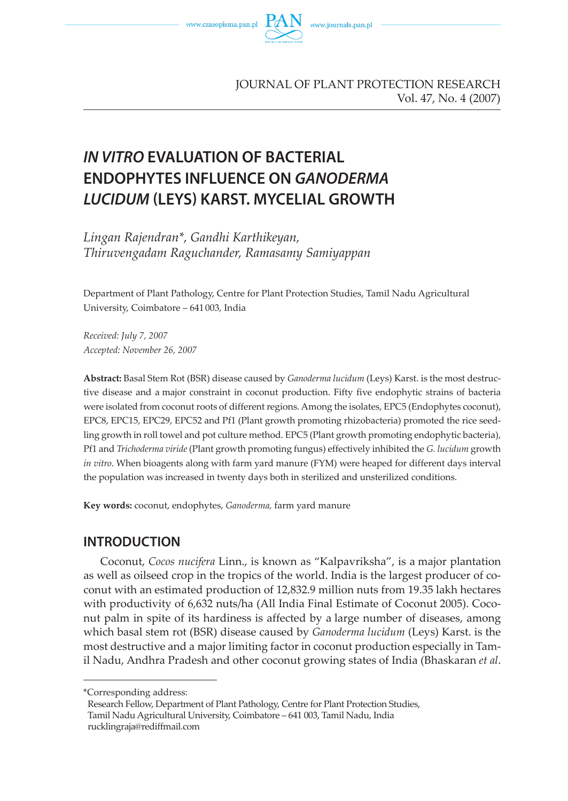

# **IN VITRO EVALUATION OF BACTERIAL ENDOPHYTES INFLUENCE ON GANODERMA LUCIDUM (LEYS) KARST. MYCELIAL GROWTH**

*Lingan Rajendran\*, Gandhi Karthikeyan, Thiruvengadam Raguchander, Ramasamy Samiyappan*

Department of Plant Pathology, Centre for Plant Protection Studies, Tamil Nadu Agricultural University, Coimbatore – 641 003, India

*Received: July 7, 2007 Accepted: November 26, 2007*

**Abstract:** Basal Stem Rot (BSR) disease caused by *Ganoderma lucidum* (Leys) Karst. is the most destructive disease and a major constraint in coconut production. Fifty five endophytic strains of bacteria were isolated from coconut roots of different regions. Among the isolates, EPC5 (Endophytes coconut), EPC8, EPC15, EPC29, EPC52 and Pf1 (Plant growth promoting rhizobacteria) promoted the rice seedling growth in roll towel and pot culture method. EPC5 (Plant growth promoting endophytic bacteria), Pf1 and *Trichoderma viride* (Plant growth promoting fungus) effectively inhibited the *G. lucidum* growth *in vitro*. When bioagents along with farm yard manure (FYM) were heaped for different days interval the population was increased in twenty days both in sterilized and unsterilized conditions.

**Key words:** coconut, endophytes, *Ganoderma,* farm yard manure

## **INTRODUCTION**

Coconut, *Cocos nucifera* Linn., is known as "Kalpavriksha", is a major plantation as well as oilseed crop in the tropics of the world. India is the largest producer of coconut with an estimated production of 12,832.9 million nuts from 19.35 lakh hectares with productivity of 6,632 nuts/ha (All India Final Estimate of Coconut 2005). Coconut palm in spite of its hardiness is affected by a large number of diseases, among which basal stem rot (BSR) disease caused by *Ganoderma lucidum* (Leys) Karst. is the most destructive and a major limiting factor in coconut production especially in Tamil Nadu, Andhra Pradesh and other coconut growing states of India (Bhaskaran *et al*.

<sup>\*</sup>Corresponding address:

Research Fellow, Department of Plant Pathology, Centre for Plant Protection Studies, Tamil Nadu Agricultural University, Coimbatore – 641 003, Tamil Nadu, India rucklingraja@rediffmail.com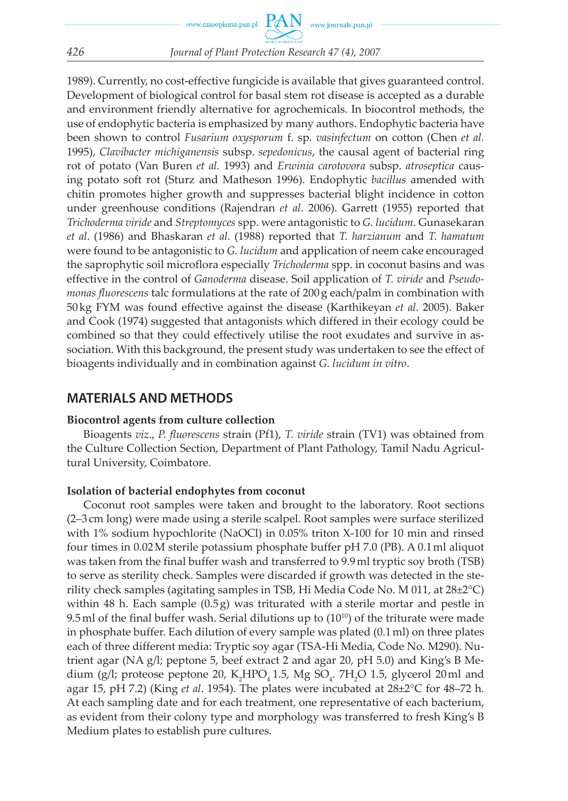#### *426 Journal of Plant Protection Research 47 (4), 2007*

1989). Currently, no cost-effective fungicide is available that gives guaranteed control. Development of biological control for basal stem rot disease is accepted as a durable and environment friendly alternative for agrochemicals. In biocontrol methods, the use of endophytic bacteria is emphasized by many authors. Endophytic bacteria have been shown to control *Fusarium oxysporum* f. sp*. vasinfectum* on cotton (Chen *et al.* 1995), *Clavibacter michiganensis* subsp. *sepedonicus*, the causal agent of bacterial ring rot of potato (Van Buren *et al.* 1993) and *Erwinia carotovora* subsp. *atroseptica* causing potato soft rot (Sturz and Matheson 1996). Endophytic *bacillus* amended with chitin promotes higher growth and suppresses bacterial blight incidence in cotton under greenhouse conditions (Rajendran *et al*. 2006). Garrett (1955) reported that *Trichoderma viride* and *Streptomyces* spp. were antagonistic to *G. lucidum*. Gunasekaran *et al*. (1986) and Bhaskaran *et al*. (1988) reported that *T. harzianum* and *T. hamatum* were found to be antagonistic to *G. lucidum* and application of neem cake encouraged the saprophytic soil microflora especially *Trichoderma* spp. in coconut basins and was effective in the control of *Ganoderma* disease. Soil application of *T. viride* and *Pseudomonas fluorescens* talc formulations at the rate of 200 g each/palm in combination with 50 kg FYM was found effective against the disease (Karthikeyan *et al*. 2005). Baker and Cook (1974) suggested that antagonists which differed in their ecology could be combined so that they could effectively utilise the root exudates and survive in association. With this background, the present study was undertaken to see the effect of bioagents individually and in combination against *G. lucidum in vitro*.

## **MATERIALS AND METHODS**

#### **Biocontrol agents from culture collection**

Bioagents *viz*., *P. fluorescens* strain (Pf1), *T. viride* strain (TV1) was obtained from the Culture Collection Section, Department of Plant Pathology, Tamil Nadu Agricultural University, Coimbatore.

#### **Isolation of bacterial endophytes from coconut**

Coconut root samples were taken and brought to the laboratory. Root sections (2–3 cm long) were made using a sterile scalpel. Root samples were surface sterilized with 1% sodium hypochlorite (NaOCl) in 0.05% triton X-100 for 10 min and rinsed four times in 0.02 M sterile potassium phosphate buffer pH 7.0 (PB). A 0.1 ml aliquot was taken from the final buffer wash and transferred to 9.9 ml tryptic soy broth (TSB) to serve as sterility check. Samples were discarded if growth was detected in the sterility check samples (agitating samples in TSB, Hi Media Code No. M 011, at 28±2°C) within 48 h. Each sample  $(0.5g)$  was triturated with a sterile mortar and pestle in 9.5 ml of the final buffer wash. Serial dilutions up to  $(10^{10})$  of the triturate were made in phosphate buffer. Each dilution of every sample was plated (0.1 ml) on three plates each of three different media: Tryptic soy agar (TSA-Hi Media, Code No. M290). Nutrient agar (NA g/l; peptone 5, beef extract 2 and agar 20, pH 5.0) and King's B Medium (g/l; proteose peptone 20,  $K_2 HPO_4$  1.5,  $Mg$  SO<sub>4</sub>. 7H<sub>2</sub>O 1.5, glycerol 20ml and agar 15, pH 7.2) (King *et al*. 1954). The plates were incubated at 28±2°C for 48–72 h. At each sampling date and for each treatment, one representative of each bacterium, as evident from their colony type and morphology was transferred to fresh King's B Medium plates to establish pure cultures.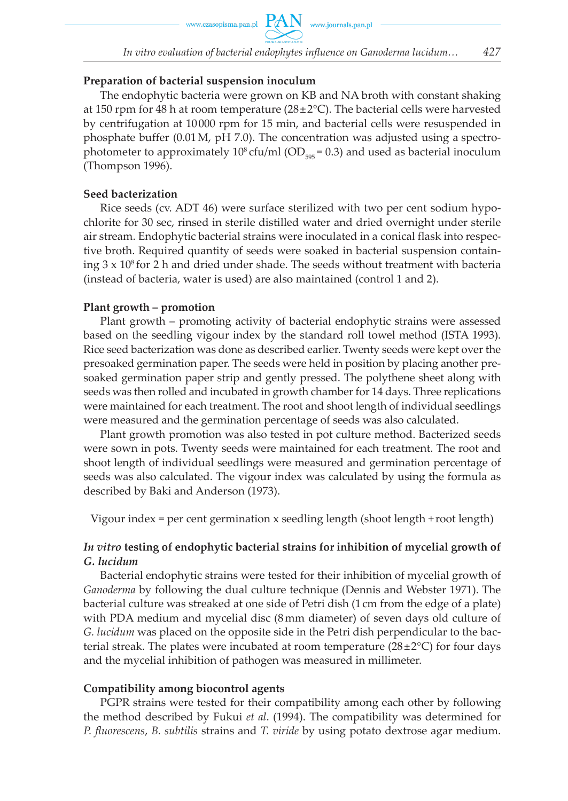www.czasopisma.pan.pl  $PAN$  www.journals.pan.pl

#### **Preparation of bacterial suspension inoculum**

The endophytic bacteria were grown on KB and NA broth with constant shaking at 150 rpm for 48 h at room temperature ( $28 \pm 2^{\circ}$ C). The bacterial cells were harvested by centrifugation at 10 000 rpm for 15 min, and bacterial cells were resuspended in phosphate buffer (0.01 M, pH 7.0). The concentration was adjusted using a spectrophotometer to approximately 10<sup>8</sup> cfu/ml (OD<sub>505</sub> = 0.3) and used as bacterial inoculum (Thompson 1996).

#### **Seed bacterization**

Rice seeds (cv. ADT 46) were surface sterilized with two per cent sodium hypochlorite for 30 sec, rinsed in sterile distilled water and dried overnight under sterile air stream. Endophytic bacterial strains were inoculated in a conical flask into respective broth. Required quantity of seeds were soaked in bacterial suspension containing  $3 \times 10^8$  for 2 h and dried under shade. The seeds without treatment with bacteria (instead of bacteria, water is used) are also maintained (control 1 and 2).

#### **Plant growth – promotion**

Plant growth – promoting activity of bacterial endophytic strains were assessed based on the seedling vigour index by the standard roll towel method (ISTA 1993). Rice seed bacterization was done as described earlier. Twenty seeds were kept over the presoaked germination paper. The seeds were held in position by placing another presoaked germination paper strip and gently pressed. The polythene sheet along with seeds was then rolled and incubated in growth chamber for 14 days. Three replications were maintained for each treatment. The root and shoot length of individual seedlings were measured and the germination percentage of seeds was also calculated.

Plant growth promotion was also tested in pot culture method. Bacterized seeds were sown in pots. Twenty seeds were maintained for each treatment. The root and shoot length of individual seedlings were measured and germination percentage of seeds was also calculated. The vigour index was calculated by using the formula as described by Baki and Anderson (1973).

Vigour index  $=$  per cent germination x seedling length (shoot length + root length)

## *In vitro* **testing of endophytic bacterial strains for inhibition of mycelial growth of**  *G. lucidum*

Bacterial endophytic strains were tested for their inhibition of mycelial growth of *Ganoderma* by following the dual culture technique (Dennis and Webster 1971). The bacterial culture was streaked at one side of Petri dish (1 cm from the edge of a plate) with PDA medium and mycelial disc (8 mm diameter) of seven days old culture of *G. lucidum* was placed on the opposite side in the Petri dish perpendicular to the bacterial streak. The plates were incubated at room temperature  $(28 \pm 2^{\circ}C)$  for four days and the mycelial inhibition of pathogen was measured in millimeter.

#### **Compatibility among biocontrol agents**

PGPR strains were tested for their compatibility among each other by following the method described by Fukui *et al*. (1994). The compatibility was determined for *P. fluorescens*, *B. subtilis* strains and *T. viride* by using potato dextrose agar medium.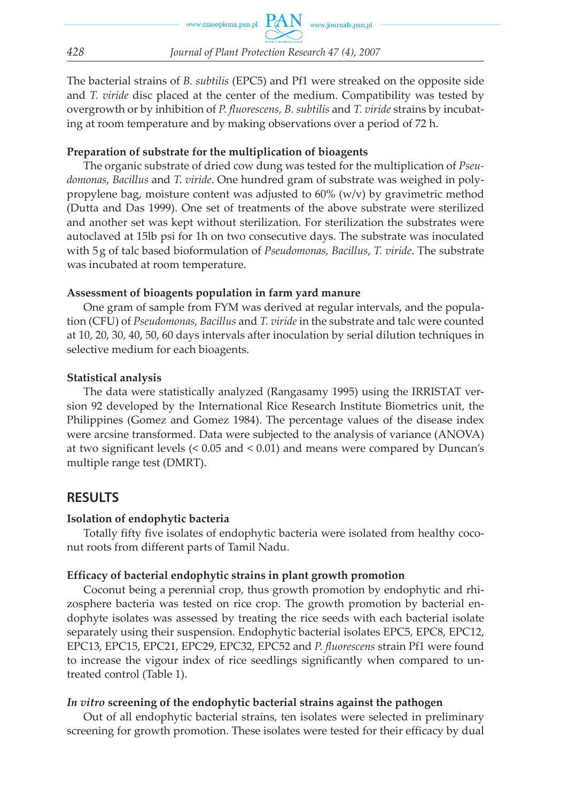The bacterial strains of *B. subtilis* (EPC5) and Pf1 were streaked on the opposite side and *T. viride* disc placed at the center of the medium. Compatibility was tested by overgrowth or by inhibition of *P. fluorescens, B. subtilis* and *T. viride* strains by incubating at room temperature and by making observations over a period of 72 h.

#### **Preparation of substrate for the multiplication of bioagents**

The organic substrate of dried cow dung was tested for the multiplication of *Pseudomonas*, *Bacillus* and *T. viride*. One hundred gram of substrate was weighed in polypropylene bag, moisture content was adjusted to  $60\%$  (w/v) by gravimetric method (Dutta and Das 1999). One set of treatments of the above substrate were sterilized and another set was kept without sterilization. For sterilization the substrates were autoclaved at 15lb psi for 1h on two consecutive days. The substrate was inoculated with 5 g of talc based bioformulation of *Pseudomonas, Bacillus*, *T. viride*. The substrate was incubated at room temperature.

## **Assessment of bioagents population in farm yard manure**

One gram of sample from FYM was derived at regular intervals, and the population (CFU) of *Pseudomonas, Bacillus* and *T. viride* in the substrate and talc were counted at 10, 20, 30, 40, 50, 60 days intervals after inoculation by serial dilution techniques in selective medium for each bioagents.

## **Statistical analysis**

The data were statistically analyzed (Rangasamy 1995) using the IRRISTAT version 92 developed by the International Rice Research Institute Biometrics unit, the Philippines (Gomez and Gomez 1984). The percentage values of the disease index were arcsine transformed. Data were subjected to the analysis of variance (ANOVA) at two significant levels (< 0.05 and < 0.01) and means were compared by Duncan's multiple range test (DMRT).

## **RESULTS**

## **Isolation of endophytic bacteria**

Totally fifty five isolates of endophytic bacteria were isolated from healthy coconut roots from different parts of Tamil Nadu.

## **Efficacy of bacterial endophytic strains in plant growth promotion**

Coconut being a perennial crop, thus growth promotion by endophytic and rhizosphere bacteria was tested on rice crop. The growth promotion by bacterial endophyte isolates was assessed by treating the rice seeds with each bacterial isolate separately using their suspension. Endophytic bacterial isolates EPC5, EPC8, EPC12, EPC13, EPC15, EPC21, EPC29, EPC32, EPC52 and *P. fluorescens* strain Pf1 were found to increase the vigour index of rice seedlings significantly when compared to untreated control (Table 1).

## *In vitro* **screening of the endophytic bacterial strains against the pathogen**

Out of all endophytic bacterial strains, ten isolates were selected in preliminary screening for growth promotion. These isolates were tested for their efficacy by dual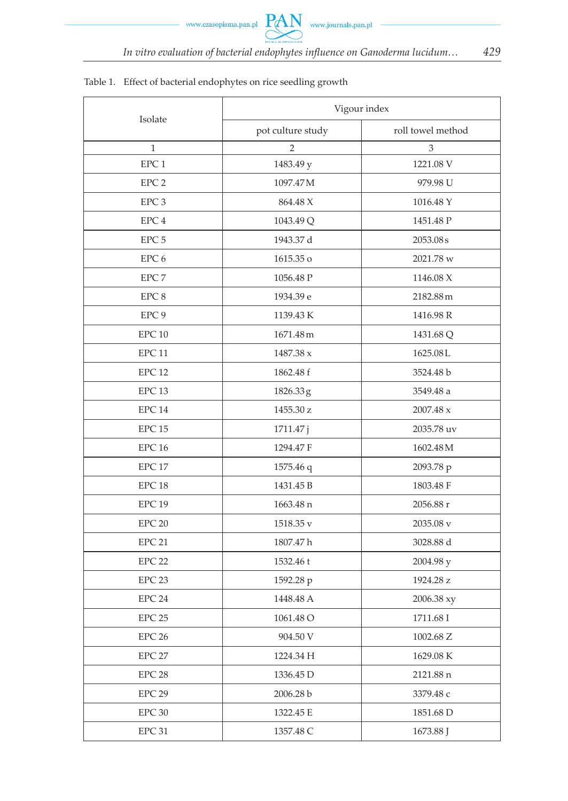## Isolate Vigour index pot culture study roll towel method 1 2 3 EPC 1 1483.49 y 1221.08 V EPC 2 1097.47 M 979.98 U EPC 3 864.48 X 1016.48 Y EPC 4 1043.49 Q 1043.49 Q 1451.48 P EPC 5 1943.37 d 2053.08 s EPC 6 1615.35 o 2021.78 w EPC 7 1056.48 P 1146.08 X EPC 8 1934.39 e 2182.88 m EPC 9 1139.43 K 1139.43 K 1416.98 R EPC 10 1671.48 m 1431.68 Q EPC 11  $1487.38 \text{ x}$  1625.08 L EPC 12 1862.48 f 3524.48 b EPC 13 1826.33 g 3549.48 a EPC 14  $1455.30 \text{ z}$  2007.48 x EPC 15 1711.47 j 2035.78 uv EPC 16 1294.47 F 1602.48 M EPC 17 1575.46 q 2093.78 p EPC 18 1431.45 B 1803.48 F EPC 19 1663.48 n 2056.88 r EPC 20  $1518.35 \text{ v}$  2035.08 v EPC 21 1807.47 h 3028.88 d EPC 22 1532.46 t 2004.98 y EPC 23 1592.28 p 1924.28 z EPC 24 1448.48 A 2006.38 xy EPC 25 1061.48 O 1711.68 I EPC 26 904.50 V 904.50 V 1002.68 Z EPC 27 1224.34 H 1629.08 K EPC 28 1336.45 D 2121.88 n EPC 29 2006.28 b 3379.48 c EPC 30 1322.45 E 1851.68 D EPC 31 1357.48 C 1673.88 J

#### Table 1. Effect of bacterial endophytes on rice seedling growth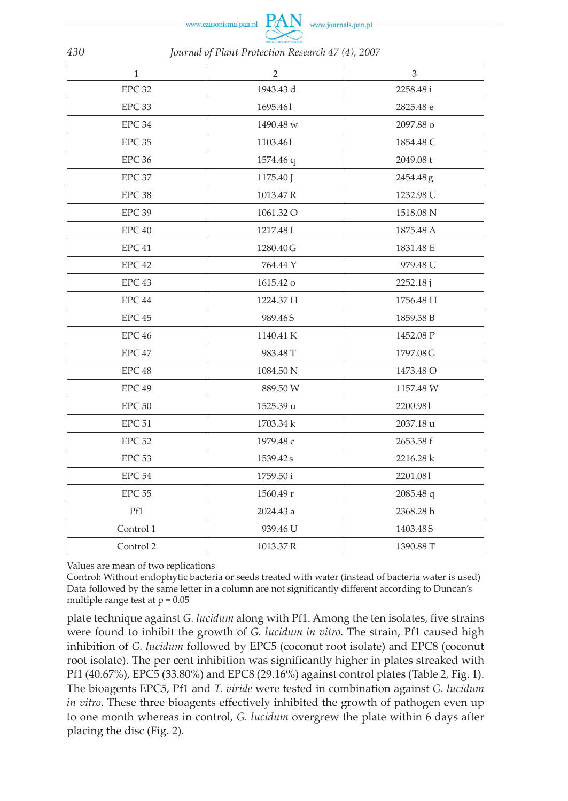www.czasopisma.pan.p



| $\mathbf{1}$      | $\overline{2}$ | 3         |  |
|-------------------|----------------|-----------|--|
| EPC 32            | 1943.43 d      | 2258.48 i |  |
| EPC 33            | 1695.461       | 2825.48 e |  |
| EPC 34            | 1490.48 w      | 2097.88 о |  |
| EPC 35            | 1103.46L       | 1854.48 C |  |
| EPC <sub>36</sub> | 1574.46 q      | 2049.08 t |  |
| EPC 37            | 1175.40 J      | 2454.48g  |  |
| EPC 38            | 1013.47 R      | 1232.98 U |  |
| EPC <sub>39</sub> | 1061.32 O      | 1518.08 N |  |
| EPC <sub>40</sub> | 1217.48 I      | 1875.48 A |  |
| EPC <sub>41</sub> | 1280.40 G      | 1831.48 E |  |
| EPC 42            | 764.44 Y       | 979.48 U  |  |
| EPC <sub>43</sub> | 1615.42 o      | 2252.18 j |  |
| EPC 44            | 1224.37 H      | 1756.48 H |  |
| EPC 45            | 989.46S        | 1859.38 B |  |
| EPC <sub>46</sub> | 1140.41 K      | 1452.08 P |  |
| EPC 47            | 983.48 T       | 1797.08 G |  |
| EPC <sub>48</sub> | 1084.50 N      | 1473.48 O |  |
| EPC <sub>49</sub> | 889.50 W       | 1157.48 W |  |
| EPC 50            | 1525.39 u      | 2200.981  |  |
| EPC <sub>51</sub> | 1703.34 k      | 2037.18 u |  |
| <b>EPC 52</b>     | 1979.48 с      | 2653.58 f |  |
| EPC <sub>53</sub> | 1539.42s       | 2216.28 k |  |
| EPC 54            | 1759.50 i      | 2201.081  |  |
| <b>EPC 55</b>     | 1560.49 r      | 2085.48 q |  |
| Pf1               | 2024.43 a      | 2368.28 h |  |
| Control 1         | 939.46 U       | 1403.48S  |  |
| Control 2         | 1013.37 R      | 1390.88 T |  |

Values are mean of two replications

Control: Without endophytic bacteria or seeds treated with water (instead of bacteria water is used) Data followed by the same letter in a column are not significantly different according to Duncan's multiple range test at  $p = 0.05$ 

plate technique against *G. lucidum* along with Pf1. Among the ten isolates, five strains were found to inhibit the growth of *G. lucidum in vitro.* The strain, Pf1 caused high inhibition of *G. lucidum* followed by EPC5 (coconut root isolate) and EPC8 (coconut root isolate). The per cent inhibition was significantly higher in plates streaked with Pf1 (40.67%), EPC5 (33.80%) and EPC8 (29.16%) against control plates (Table 2, Fig. 1). The bioagents EPC5, Pf1 and *T. viride* were tested in combination against *G. lucidum in vitro*. These three bioagents effectively inhibited the growth of pathogen even up to one month whereas in control, *G. lucidum* overgrew the plate within 6 days after placing the disc (Fig. 2).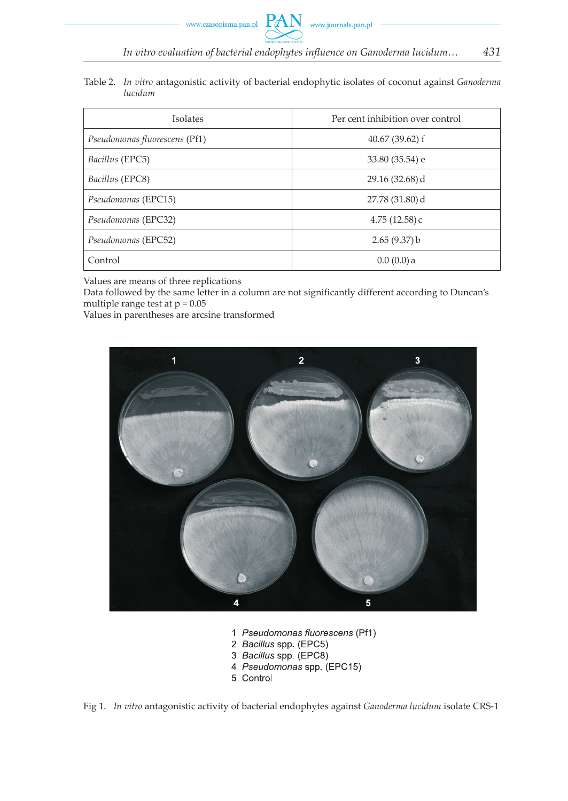Table 2. *In vitro* antagonistic activity of bacterial endophytic isolates of coconut against *Ganoderma lucidum*

| Isolates                      | Per cent inhibition over control |
|-------------------------------|----------------------------------|
| Pseudomonas fluorescens (Pf1) | $40.67(39.62)$ f                 |
| Bacillus (EPC5)               | 33.80 (35.54) e                  |
| Bacillus (EPC8)               | $29.16(32.68)$ d                 |
| Pseudomonas (EPC15)           | $27.78(31.80)$ d                 |
| Pseudomonas (EPC32)           | 4.75(12.58)c                     |
| Pseudomonas (EPC52)           | 2.65(9.37)b                      |
| Control                       | $0.0(0.0)$ a                     |

Values are means of three replications

Data followed by the same letter in a column are not significantly different according to Duncan's multiple range test at  $p = 0.05$ 

Values in parentheses are arcsine transformed



- 1. Pseudomonas fluorescens (Pf1)
- 2. Bacillus spp. (EPC5)
- 3. Bacillus spp. (EPC8)
- 4. Pseudomonas spp. (EPC15)
- 5. Control

Fig 1. *In vitro* antagonistic activity of bacterial endophytes against *Ganoderma lucidum* isolate CRS-1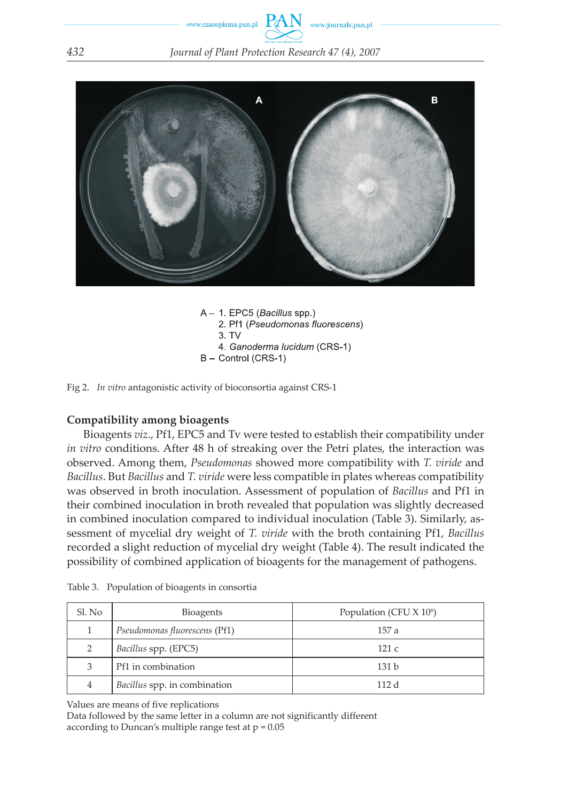



A - 1 EPC5 (Bacillus spp.) 2. Pf1 (Pseudomonas fluorescens)  $3. TV$ 4. Ganoderma lucidum (CRS-1) B - Control (CRS-1)

Fig 2. *In vitro* antagonistic activity of bioconsortia against CRS-1

#### **Compatibility among bioagents**

Bioagents *viz*., Pf1, EPC5 and Tv were tested to establish their compatibility under *in vitro* conditions. After 48 h of streaking over the Petri plates, the interaction was observed. Among them, *Pseudomonas* showed more compatibility with *T. viride* and *Bacillus*. But *Bacillus* and *T. viride* were less compatible in plates whereas compatibility was observed in broth inoculation. Assessment of population of *Bacillus* and Pf1 in their combined inoculation in broth revealed that population was slightly decreased in combined inoculation compared to individual inoculation (Table 3). Similarly, assessment of mycelial dry weight of *T. viride* with the broth containing Pf1, *Bacillus* recorded a slight reduction of mycelial dry weight (Table 4). The result indicated the possibility of combined application of bioagents for the management of pathogens.

| Sl. No | <b>Bioagents</b>              | Population (CFU $X$ 10 <sup>6</sup> ) |
|--------|-------------------------------|---------------------------------------|
|        | Pseudomonas fluorescens (Pf1) | 157 a                                 |
|        | <i>Bacillus spp.</i> (EPC5)   | 121c                                  |
| 3      | Pf1 in combination            | 131h                                  |
| 4      | Bacillus spp. in combination  | 112d                                  |

Table 3. Population of bioagents in consortia

Values are means of five replications

Data followed by the same letter in a column are not significantly different according to Duncan's multiple range test at  $p = 0.05$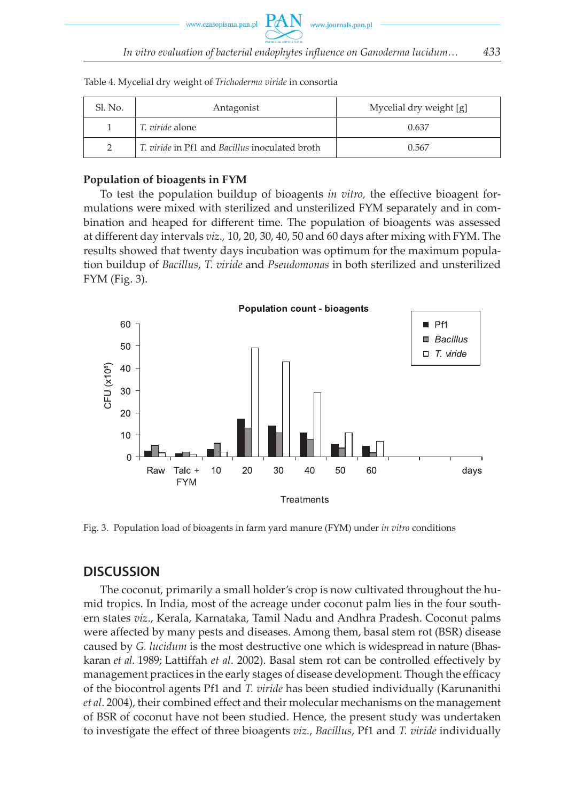| Sl. No. | Antagonist                                     | Mycelial dry weight [g] |
|---------|------------------------------------------------|-------------------------|
|         | <i>T. viride</i> alone                         | 0.637                   |
|         | T. viride in Pf1 and Bacillus inoculated broth | 0.567                   |

Table 4. Mycelial dry weight of *Trichoderma viride* in consortia

#### **Population of bioagents in FYM**

To test the population buildup of bioagents *in vitro,* the effective bioagent formulations were mixed with sterilized and unsterilized FYM separately and in combination and heaped for different time. The population of bioagents was assessed at different day intervals *viz.,* 10, 20, 30, 40, 50 and 60 days after mixing with FYM. The results showed that twenty days incubation was optimum for the maximum population buildup of *Bacillus*, *T. viride* and *Pseudomonas* in both sterilized and unsterilized FYM (Fig. 3).



Fig. 3. Population load of bioagents in farm yard manure (FYM) under *in vitro* conditions

## **DISCUSSION**

The coconut, primarily a small holder's crop is now cultivated throughout the humid tropics. In India, most of the acreage under coconut palm lies in the four southern states *viz*., Kerala, Karnataka, Tamil Nadu and Andhra Pradesh. Coconut palms were affected by many pests and diseases. Among them, basal stem rot (BSR) disease caused by *G. lucidum* is the most destructive one which is widespread in nature (Bhaskaran *et al*. 1989; Lattiffah *et al*. 2002). Basal stem rot can be controlled effectively by management practices in the early stages of disease development. Though the efficacy of the biocontrol agents Pf1 and *T. viride* has been studied individually (Karunanithi *et al*. 2004), their combined effect and their molecular mechanisms on the management of BSR of coconut have not been studied. Hence, the present study was undertaken to investigate the effect of three bioagents *viz.*, *Bacillus*, Pf1 and *T. viride* individually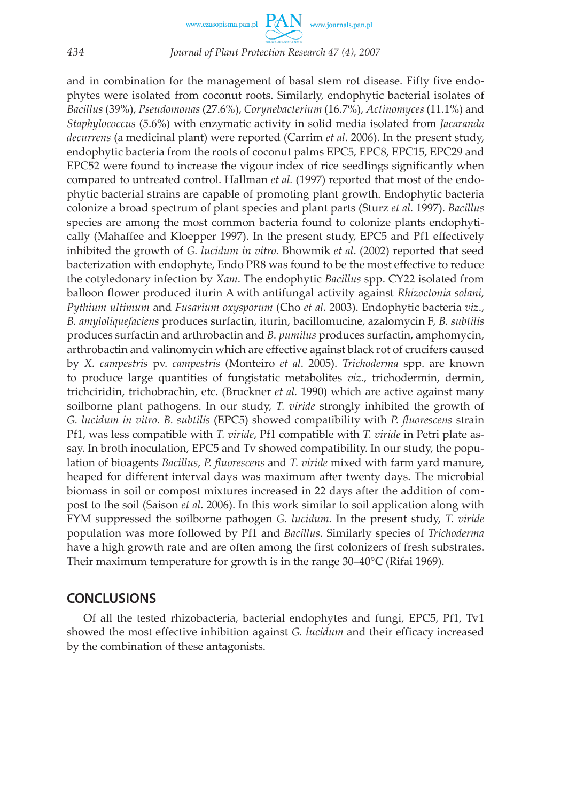#### *434 Journal of Plant Protection Research 47 (4), 2007*

and in combination for the management of basal stem rot disease. Fifty five endophytes were isolated from coconut roots. Similarly, endophytic bacterial isolates of *Bacillus* (39%), *Pseudomonas* (27.6%), *Corynebacterium* (16.7%), *Actinomyces* (11.1%) and *Staphylococcus* (5.6%) with enzymatic activity in solid media isolated from *Jacaranda decurrens* (a medicinal plant) were reported (Carrim *et al*. 2006). In the present study, endophytic bacteria from the roots of coconut palms EPC5, EPC8, EPC15, EPC29 and EPC52 were found to increase the vigour index of rice seedlings significantly when compared to untreated control. Hallman *et al.* (1997) reported that most of the endophytic bacterial strains are capable of promoting plant growth. Endophytic bacteria colonize a broad spectrum of plant species and plant parts (Sturz *et al.* 1997). *Bacillus* species are among the most common bacteria found to colonize plants endophytically (Mahaffee and Kloepper 1997). In the present study, EPC5 and Pf1 effectively inhibited the growth of *G. lucidum in vitro.* Bhowmik *et al*. (2002) reported that seed bacterization with endophyte, Endo PR8 was found to be the most effective to reduce the cotyledonary infection by *Xam*. The endophytic *Bacillus* spp. CY22 isolated from balloon flower produced iturin A with antifungal activity against *Rhizoctonia solani, Pythium ultimum* and *Fusarium oxysporum* (Cho *et al.* 2003). Endophytic bacteria *viz*., *B. amyloliquefaciens* produces surfactin, iturin, bacillomucine, azalomycin F, *B. subtilis* produces surfactin and arthrobactin and *B. pumilus* produces surfactin, amphomycin, arthrobactin and valinomycin which are effective against black rot of crucifers caused by *X. campestris* pv. *campestris* (Monteiro *et al*. 2005). *Trichoderma* spp. are known to produce large quantities of fungistatic metabolites *viz.*, trichodermin, dermin, trichciridin, trichobrachin, etc. (Bruckner *et al.* 1990) which are active against many soilborne plant pathogens. In our study, *T. viride* strongly inhibited the growth of *G. lucidum in vitro. B. subtilis* (EPC5) showed compatibility with *P. fluorescens* strain Pf1, was less compatible with *T. viride*, Pf1 compatible with *T. viride* in Petri plate assay. In broth inoculation, EPC5 and Tv showed compatibility. In our study, the population of bioagents *Bacillus*, *P. fluorescens* and *T. viride* mixed with farm yard manure, heaped for different interval days was maximum after twenty days. The microbial biomass in soil or compost mixtures increased in 22 days after the addition of compost to the soil (Saison *et al*. 2006). In this work similar to soil application along with FYM suppressed the soilborne pathogen *G. lucidum.* In the present study, *T. viride* population was more followed by Pf1 and *Bacillus.* Similarly species of *Trichoderma* have a high growth rate and are often among the first colonizers of fresh substrates. Their maximum temperature for growth is in the range 30–40°C (Rifai 1969).

## **CONCLUSIONS**

Of all the tested rhizobacteria, bacterial endophytes and fungi, EPC5, Pf1, Tv1 showed the most effective inhibition against *G. lucidum* and their efficacy increased by the combination of these antagonists.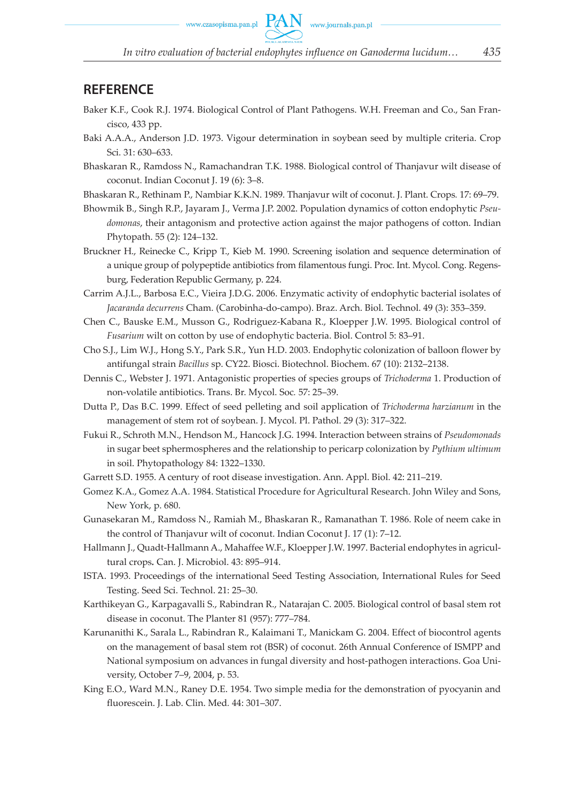www.czasopisma.pan.pl  $PAN$  www.journals.pan.pl

#### **REFERENCE**

- Baker K.F., Cook R.J. 1974. Biological Control of Plant Pathogens. W.H. Freeman and Co., San Francisco, 433 pp.
- Baki A.A.A., Anderson J.D. 1973. Vigour determination in soybean seed by multiple criteria. Crop Sci. 31: 630–633.
- Bhaskaran R., Ramdoss N., Ramachandran T.K. 1988. Biological control of Thanjavur wilt disease of coconut. Indian Coconut J. 19 (6): 3–8.
- Bhaskaran R., Rethinam P., Nambiar K.K.N. 1989. Thanjavur wilt of coconut. J. Plant. Crops*.* 17: 69–79.
- Bhowmik B., Singh R.P., Jayaram J., Verma J.P. 2002. Population dynamics of cotton endophytic *Pseudomonas*, their antagonism and protective action against the major pathogens of cotton. Indian Phytopath. 55 (2): 124–132.
- Bruckner H., Reinecke C., Kripp T., Kieb M. 1990. Screening isolation and sequence determination of a unique group of polypeptide antibiotics from filamentous fungi. Proc. Int. Mycol. Cong. Regensburg, Federation Republic Germany, p. 224.
- Carrim A.J.L., Barbosa E.C., Vieira J.D.G. 2006. Enzymatic activity of endophytic bacterial isolates of *Jacaranda decurrens* Cham. (Carobinha-do-campo). Braz. Arch. Biol. Technol. 49 (3): 353–359.
- Chen C., Bauske E.M., Musson G., Rodriguez-Kabana R., Kloepper J.W. 1995. Biological control of *Fusarium* wilt on cotton by use of endophytic bacteria. Biol. Control 5: 83–91.
- Cho S.J., Lim W.J., Hong S.Y., Park S.R., Yun H.D. 2003. Endophytic colonization of balloon flower by antifungal strain *Bacillus* sp. CY22. Biosci. Biotechnol. Biochem. 67 (10): 2132–2138.
- Dennis C., Webster J. 1971. Antagonistic properties of species groups of *Trichoderma* 1. Production of non-volatile antibiotics. Trans. Br. Mycol. Soc*.* 57: 25–39.
- Dutta P., Das B.C. 1999. Effect of seed pelleting and soil application of *Trichoderma harzianum* in the management of stem rot of soybean. J. Mycol. Pl. Pathol. 29 (3): 317–322.
- Fukui R., Schroth M.N., Hendson M., Hancock J.G. 1994. Interaction between strains of *Pseudomonads* in sugar beet sphermospheres and the relationship to pericarp colonization by *Pythium ultimum* in soil. Phytopathology 84: 1322–1330.
- Garrett S.D. 1955. A century of root disease investigation. Ann. Appl. Biol. 42: 211–219.
- Gomez K.A., Gomez A.A. 1984. Statistical Procedure for Agricultural Research. John Wiley and Sons, New York, p. 680.
- Gunasekaran M., Ramdoss N., Ramiah M., Bhaskaran R., Ramanathan T. 1986. Role of neem cake in the control of Thanjavur wilt of coconut. Indian Coconut J. 17 (1): 7–12.
- Hallmann J., Quadt-Hallmann A., Mahaffee W.F., Kloepper J.W. 1997. Bacterial endophytes in agricultural crops*.* Can. J. Microbiol. 43: 895–914.
- ISTA. 1993. Proceedings of the international Seed Testing Association, International Rules for Seed Testing. Seed Sci. Technol. 21: 25–30.
- Karthikeyan G., Karpagavalli S., Rabindran R., Natarajan C. 2005. Biological control of basal stem rot disease in coconut. The Planter 81 (957): 777–784.
- Karunanithi K., Sarala L., Rabindran R., Kalaimani T., Manickam G. 2004. Effect of biocontrol agents on the management of basal stem rot (BSR) of coconut. 26th Annual Conference of ISMPP and National symposium on advances in fungal diversity and host-pathogen interactions. Goa University, October 7–9, 2004, p. 53.
- King E.O., Ward M.N., Raney D.E. 1954. Two simple media for the demonstration of pyocyanin and fluorescein. J. Lab. Clin. Med*.* 44: 301–307.